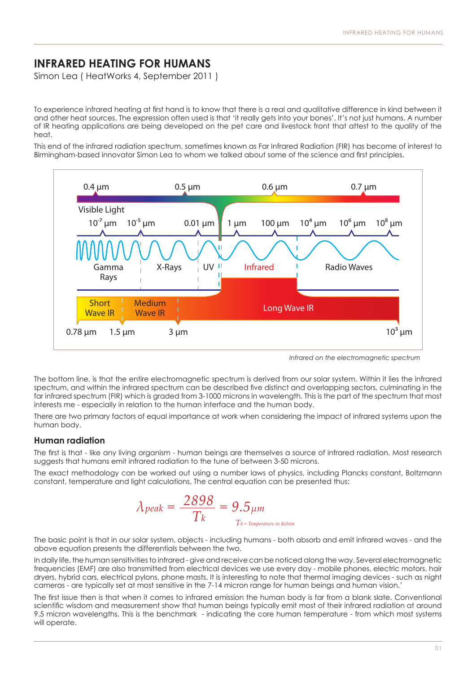## **INFRARED HEATING FOR HUMANS**

Simon Lea ( HeatWorks 4, September 2011 )

To experience infrared heating at first hand is to know that there is a real and qualitative difference in kind between it and other heat sources. The expression often used is that 'it really gets into your bones'. It's not just humans. A number of IR heating applications are being developed on the pet care and livestock front that attest to the quality of the heat.

This end of the infrared radiation spectrum, sometimes known as Far Infrared Radiation (FIR) has become of interest to nis ond or the innuited radiation spectrum, sometimes known as rail intrared Radiation (i.k) has become or



*Infrared on the electromagnetic spectrum*

The bottom line, is that the entire electromagnetic spectrum is derived from our solar system. Within it lies the infrared spectrum, and within the infrared spectrum can be described five distinct and overlapping sectors, culminating in the far infrared spectrum (FIR) which is graded from 3-1000 microns in wavelength. This is the part of the spectrum that most interests me - especially in relation to the human interface and the human body.

There are two primary factors of equal importance at work when considering the impact of infrared systems upon the human body.

## **Human radiation**

The first is that - like any living organism - human beings are themselves a source of infrared radiation. Most research suggests that humans emit infrared radiation to the tune of between 3-50 microns.

The exact methodology can be worked out using a number laws of physics, including Plancks constant, Boltzmann constant, temperature and light calculations, The central equation can be presented thus:

$$
\lambda_{peak} = \frac{2898}{T_k} = 9.5 \mu m
$$
  

$$
T_k = T_{temperature in\ Kelvin}
$$

The basic point is that in our solar system, objects - including humans - both absorb and emit infrared waves - and the above equation presents the differentials between the two.

In daily life, the human sensitivities to infrared - give and receive can be noticed along the way. Several electromagnetic frequencies (EMF) are also transmitted from electrical devices we use every day - mobile phones, electric motors, hair dryers, hybrid cars, electrical pylons, phone masts. It is interesting to note that thermal imaging devices - such as night cameras - are typically set at most sensitive in the 7-14 micron range for human beings and human vision.'

The first issue then is that when it comes to infrared emission the human body is far from a blank slate. Conventional scientific wisdom and measurement show that human beings typically emit most of their infrared radiation at around 9.5 micron wavelengths. This is the benchmark - indicating the core human temperature - from which most systems will operate.